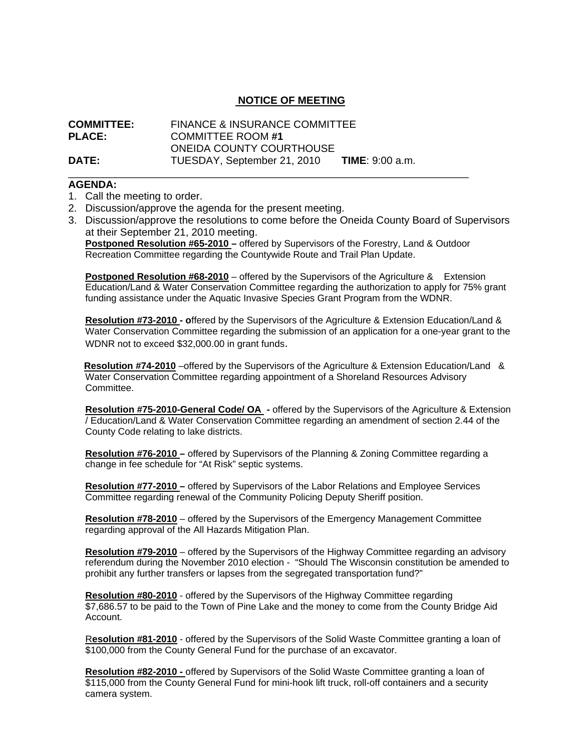## **NOTICE OF MEETING**

| <b>COMMITTEE:</b> | <b>FINANCE &amp; INSURANCE COMMITTEE</b> |                          |
|-------------------|------------------------------------------|--------------------------|
| <b>PLACE:</b>     | <b>COMMITTEE ROOM #1</b>                 |                          |
|                   | <b>ONEIDA COUNTY COURTHOUSE</b>          |                          |
| <b>DATE:</b>      | TUESDAY, September 21, 2010              | <b>TIME:</b> $9:00$ a.m. |

## **AGENDA:**

- 1. Call the meeting to order.
- 2. Discussion/approve the agenda for the present meeting.
- 3. Discussion/approve the resolutions to come before the Oneida County Board of Supervisors at their September 21, 2010 meeting.

**Postponed Resolution #65-2010 –** offered by Supervisors of the Forestry, Land & Outdoor Recreation Committee regarding the Countywide Route and Trail Plan Update.

\_\_\_\_\_\_\_\_\_\_\_\_\_\_\_\_\_\_\_\_\_\_\_\_\_\_\_\_\_\_\_\_\_\_\_\_\_\_\_\_\_\_\_\_\_\_\_\_\_\_\_\_\_\_\_\_\_\_\_\_\_\_\_\_\_\_\_\_\_

**Postponed Resolution #68-2010** – offered by the Supervisors of the Agriculture & Extension Education/Land & Water Conservation Committee regarding the authorization to apply for 75% grant funding assistance under the Aquatic Invasive Species Grant Program from the WDNR.

**Resolution #73-2010 - o**ffered by the Supervisors of the Agriculture & Extension Education/Land & Water Conservation Committee regarding the submission of an application for a one-year grant to the WDNR not to exceed \$32,000.00 in grant funds.

 **Resolution #74-2010** –offered by the Supervisors of the Agriculture & Extension Education/Land & Water Conservation Committee regarding appointment of a Shoreland Resources Advisory Committee.

**Resolution #75-2010-General Code/ OA -** offered by the Supervisors of the Agriculture & Extension / Education/Land & Water Conservation Committee regarding an amendment of section 2.44 of the County Code relating to lake districts.

**Resolution #76-2010 –** offered by Supervisors of the Planning & Zoning Committee regarding a change in fee schedule for "At Risk" septic systems.

**Resolution #77-2010 –** offered by Supervisors of the Labor Relations and Employee Services Committee regarding renewal of the Community Policing Deputy Sheriff position.

**Resolution #78-2010** – offered by the Supervisors of the Emergency Management Committee regarding approval of the All Hazards Mitigation Plan.

**Resolution #79-2010** – offered by the Supervisors of the Highway Committee regarding an advisory referendum during the November 2010 election - "Should The Wisconsin constitution be amended to prohibit any further transfers or lapses from the segregated transportation fund?"

**Resolution #80-2010** - offered by the Supervisors of the Highway Committee regarding \$7,686.57 to be paid to the Town of Pine Lake and the money to come from the County Bridge Aid Account.

R**esolution #81-2010** - offered by the Supervisors of the Solid Waste Committee granting a loan of \$100,000 from the County General Fund for the purchase of an excavator.

**Resolution #82-2010 -** offered by Supervisors of the Solid Waste Committee granting a loan of \$115,000 from the County General Fund for mini-hook lift truck, roll-off containers and a security camera system.